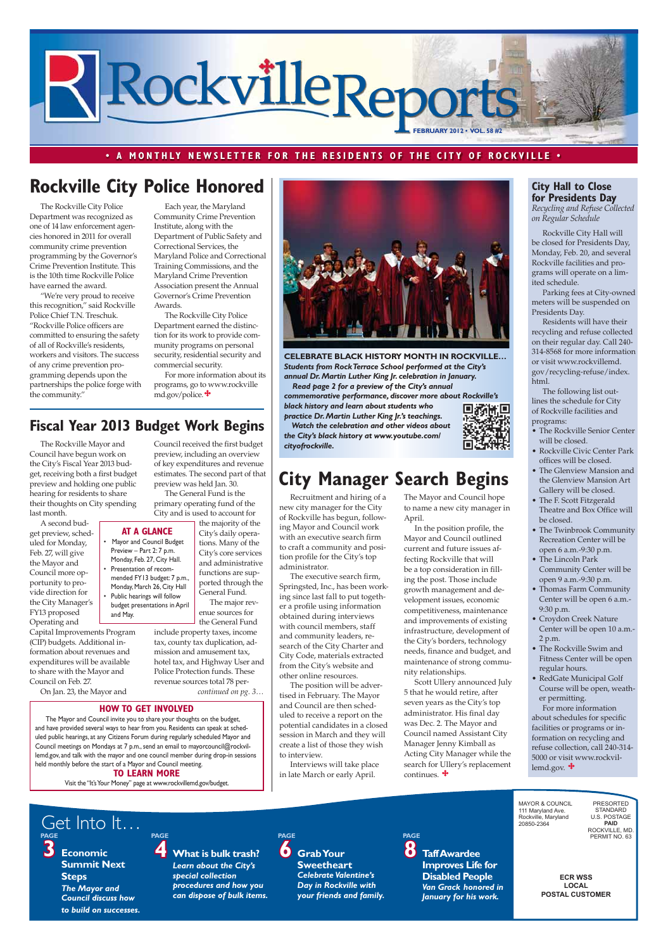**3 Economic Summit Next**  *The Mayor and Council discuss how to build on successes.*

**Steps PAGE**

**6 Grab Your Sweetheart**  *Celebrate Valentine's Day in Rockville with your friends and family.*

**4 What is bulk trash?** *Learn about the City's special collection procedures and how you can dispose of bulk items.*  **PAGE PAGE PAGE**

**8 Taff Awardee Improves Life for Disabled People** *Van Grack honored in January for his work.*

**ECR WSS** LOCAL **POSTAL CUSTOMER** 

#### **• A MONTHLY NEWSLETTER FOR THE RESIDENTS OF THE CITY OF ROCKVILLE •**



Get Into It…

Recruitment and hiring of a new city manager for the City of Rockville has begun, following Mayor and Council work with an executive search firm to craft a community and position profile for the City's top administrator.

The executive search firm, Springsted, Inc., has been working since last fall to put together a profile using information obtained during interviews with council members, staff and community leaders, research of the City Charter and City Code, materials extracted from the City's website and other online resources.

The position will be advertised in February. The Mayor and Council are then scheduled to receive a report on the potential candidates in a closed session in March and they will

create a list of those they wish to interview.

Interviews will take place in late March or early April.

For more information about schedules for specific facilities or programs or information on recycling and refuse collection, call 240-314- 5000 or visit www.rockvillemd.gov.  $\bigstar$ 

The Rockville City Police Department was recognized as one of 14 law enforcement agencies honored in 2011 for overall community crime prevention programming by the Governor's Crime Prevention Institute. This is the 10th time Rockville Police have earned the award.

"We're very proud to receive this recognition," said Rockville Police Chief T.N. Treschuk. "Rockville Police officers are committed to ensuring the safety of all of Rockville's residents, workers and visitors. The success of any crime prevention programming depends upon the partnerships the police forge with the community."

For more information about its programs, go to www.rockville md.gov/police.  $\bigstar$ 

Rockville City Hall will be closed for Presidents Day, Monday, Feb. 20, and several Rockville facilities and programs will operate on a limited schedule.

Parking fees at City-owned meters will be suspended on Presidents Day.

Public hearings will follow budget presentations in April and May.

Residents will have their recycling and refuse collected on their regular day. Call 240- 314-8568 for more information or visit www.rockvillemd. gov/recycling-refuse/index. html.

The following list outlines the schedule for City of Rockville facilities and programs:

- The Rockville Senior Center will be closed.
- Rockville Civic Center Park offices will be closed.
- The Glenview Mansion and the Glenview Mansion Art Gallery will be closed.
- The F. Scott Fitzgerald Theatre and Box Office will be closed.
- The Twinbrook Community Recreation Center will be open 6 a.m.-9:30 p.m.
- The Lincoln Park Community Center will be open 9 a.m.-9:30 p.m.
- Thomas Farm Community Center will be open 6 a.m.- 9:30 p.m.
- Croydon Creek Nature Center will be open 10 a.m.- 2 p.m.
- The Rockville Swim and Fitness Center will be open regular hours.
- RedGate Municipal Golf Course will be open, weather permitting.

*continued on pg. 3…* the General Fund include property taxes, income tax, county tax duplication, admission and amusement tax, hotel tax, and Highway User and Police Protection funds. These revenue sources total 78 per-

> Manager Jenny Kimball as Acting City Manager while the search for Ullery's replacement continues.  $\bigstar$

> > MAYOR & COLINCIL 111 Maryland Ave. Rockville, Maryland 20850-2364

PRESORTED STANDARD U.S. POSTAGE **3\$,'** ROCKVILLE, MD.<br>PERMIT NO. 63

#### **City Hall to Close for Presidents Day**

Recycling and Refuse Collected on Regular Schedule

### **Rockville City Police Honored**

Each year, the Maryland Community Crime Prevention Institute, along with the Department of Public Safety and Correctional Services, the Maryland Police and Correctional Training Commissions, and the Maryland Crime Prevention Association present the Annual Governor's Crime Prevention Awards.

The Rockville City Police Department earned the distinction for its work to provide community programs on personal security, residential security and commercial security.

**HOW TO GET INVOLVED**

The Mayor and Council invite you to share your thoughts on the budget, and have provided several ways to hear from you. Residents can speak at scheduled public hearings, at any Citizens Forum during regularly scheduled Mayor and Council meetings on Mondays at 7 p.m., send an email to mayorcouncil@rockvillemd.gov, and talk with the mayor and one council member during drop-in sessions held monthly before the start of a Mayor and Council meeting.

#### **TO LEARN MORE**

Visit the "It's Your Money" page at www.rockvillemd.gov/budget.

**AT A GLANCE** • Mayor and Council Budget Preview - Part 2: 7 p.m. Monday, Feb. 27, City Hall. Presentation of recommended FY13 budget: 7 p.m., Monday, March 26, City Hall

The Rockville Mayor and Council have begun work on the City's Fiscal Year 2013 budget, receiving both a first budget preview and holding one public hearing for residents to share their thoughts on City spending last month.

A second budget preview, scheduled for Monday, Feb. 27, will give the Mayor and Council more opportunity to provide direction for the City Manager's FY13 proposed Operating and

Capital Improvements Program (CIP) budgets. Additional information about revenues and expenditures will be available to share with the Mayor and Council on Feb. 27.

On Jan. 23, the Mayor and

### **Fiscal Year 2013 Budget Work Begins**

Council received the first budget preview, including an overview of key expenditures and revenue estimates. The second part of that

preview was held Jan. 30. The General Fund is the primary operating fund of the City and is used to account for



the majority of the City's daily operations. Many of the City's core services and administrative functions are supported through the

General Fund. The major revenue sources for

## **City Manager Search Begins**

The Mayor and Council hope to name a new city manager in April.

In the position profile, the Mayor and Council outlined current and future issues affecting Rockville that will be a top consideration in filling the post. Those include growth management and development issues, economic competitiveness, maintenance and improvements of existing infrastructure, development of the City's borders, technology needs, finance and budget, and maintenance of strong community relationships.

Scott Ullery announced July 5 that he would retire, after seven years as the City's top administrator. His final day was Dec. 2. The Mayor and Council named Assistant City

**CELEBRATE BLACK HISTORY MONTH IN ROCKVILLE…**  *Students from Rock Terrace School performed at the City's annual Dr. Martin Luther King Jr. celebration in January.* 

 *Read page 2 for a preview of the City's annual commemorative performance, discover more about Rockville's black history and learn about students who practice Dr. Martin Luther King Jr.'s teachings.*

 *Watch the celebration and other videos about the City's black history at www.youtube.com/ cityofrockville.*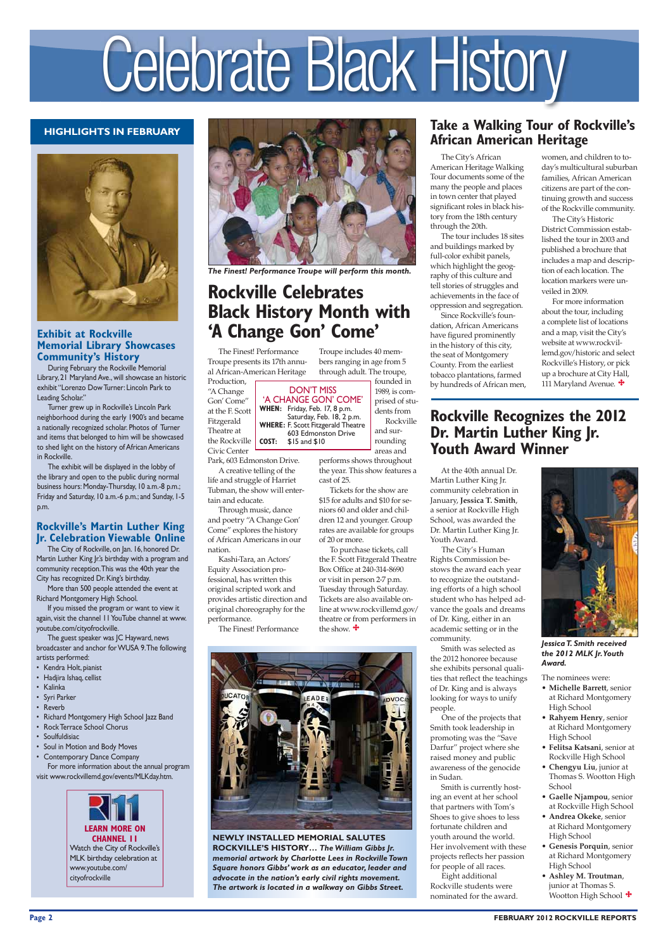#### **Page 2 FEBRUARY 2012 ROCKVILLE REPORTS**

#### **HIGHLIGHTS IN FEBRUARY**



## Celebrate Black History

The Finest! Performance Troupe presents its 17th annual African-American Heritage Production,

"A Change Gon' Come" at the F. Scott Fitzgerald Theatre at the Rockville Civic Center

Park, 603 Edmonston Drive.

A creative telling of the life and struggle of Harriet Tubman, the show will entertain and educate.

Through music, dance and poetry "A Change Gon' Come" explores the history of African Americans in our nation.

Kashi-Tara, an Actors' Equity Association professional, has written this original scripted work and provides artistic direction and original choreography for the performance.

The Finest! Performance



#### **Exhibit at Rockville Memorial Library Showcases Community's History**

During February the Rockville Memorial Library, 21 Maryland Ave., will showcase an historic exhibit "Lorenzo Dow Turner: Lincoln Park to Leading Scholar."

Turner grew up in Rockville's Lincoln Park neighborhood during the early 1900's and became a nationally recognized scholar. Photos of Turner and items that belonged to him will be showcased to shed light on the history of African Americans in Rockville.

The exhibit will be displayed in the lobby of the library and open to the public during normal business hours: Monday-Thursday, 10 a.m.-8 p.m.; Friday and Saturday, 10 a.m.-6 p.m.; and Sunday, 1-5 p.m.

The City's African American Heritage Walking Tour documents some of the many the people and places in town center that played significant roles in black history from the 18th century through the 20th.

The tour includes 18 sites and buildings marked by full-color exhibit panels, which highlight the geography of this culture and tell stories of struggles and achievements in the face of oppression and segregation.

To purchase tickets, call the F. Scott Fitzgerald Theatre Box Office at 240-314-8690 or visit in person 2-7 p.m. Tuesday through Saturday. Tickets are also available online at www.rockvillemd.gov/ theatre or from performers in the show.  $\mathbf{\ddot{+}}$ 

Since Rockville's foundation, African Americans have figured prominently in the history of this city, the seat of Montgomery County. From the earliest tobacco plantations, farmed by hundreds of African men,

603 Edmonston Drive<br>**COST:** \$15 and \$10 **COST:** \$15 and \$10

> At the 40th annual Dr. Martin Luther King Jr. community celebration in January, **Jessica T. Smith**, a senior at Rockville High School, was awarded the Dr. Martin Luther King Jr. Youth Award.

For more information about the tour, including a complete list of locations and a map, visit the City's website at www.rockvillemd.gov/historic and select Rockville's History, or pick up a brochure at City Hall, 111 Maryland Avenue.  $\bigstar$ 

 The City's Human Rights Commission bestows the award each year to recognize the outstanding efforts of a high school student who has helped advance the goals and dreams of Dr. King, either in an academic setting or in the community.

- **Felitsa Katsani**, senior at Rockville High School
- **Chengyu Liu**, junior at Thomas S. Wootton High School
- **Gaelle Njampou**, senior at Rockville High School
- **Andrea Okeke**, senior at Richard Montgomery High School
- **Genesis Porquin**, senior at Richard Montgomery High School
- **Ashley M. Troutman**, junior at Thomas S. Wootton High School  $\boldsymbol{\div}$

Smith was selected as the 2012 honoree because she exhibits personal qualities that reflect the teachings of Dr. King and is always looking for ways to unify people.

 One of the projects that Smith took leadership in promoting was the "Save

Darfur" project where she raised money and public awareness of the genocide in Sudan.

Smith is currently hosting an event at her school that partners with Tom's Shoes to give shoes to less fortunate children and youth around the world. Her involvement with these projects reflects her passion for people of all races. Eight additional Rockville students were nominated for the award.

- Kendra Holt, pianist
- Hadjira Ishaq, cellist
- Kalinka
- Syri Parker
- **Reverb**
- Richard Montgomery High School Jazz Band
- Rock Terrace School Chorus **Soulfuldisiac**
- 



### **Rockville Celebrates Black History Month with 'A Change Gon' Come'**

- Soul in Motion and Body Moves
- Contemporary Dance Company For more information about the annual program visit www.rockvillemd.gov/events/MLKday.htm.

Troupe includes 40 mem-

Rockville

performs shows throughout the year. This show features a

cast of 25.

Tickets for the show are \$15 for adults and \$10 for seniors 60 and older and children 12 and younger. Group rates are available for groups of 20 or more.

bers ranging in age from 5 through adult. The troupe, founded in 1989, is com-DON'T MISS

prised of students from and surrounding areas and 'A CHANGE GON' COME' **WHEN:** Friday, Feb. 17, 8 p.m. Saturday, Feb. 18, 2 p.m. **WHERE:** F. Scott Fitzgerald Theatre

#### **Take a Walking Tour of Rockville's African American Heritage**

women, and children to today's multicultural suburban families, African American citizens are part of the continuing growth and success of the Rockville community.

The City's Historic District Commission established the tour in 2003 and published a brochure that includes a map and description of each location. The location markers were unveiled in 2009.

### **Rockville Recognizes the 2012 Dr. Martin Luther King Jr. Youth Award Winner**

#### The nominees were:

- **Michelle Barrett**, senior at Richard Montgomery High School
- **Rahyem Henry**, senior at Richard Montgomery High School



*Jessica T. Smith received the 2012 MLK Jr. Youth Award.*

**NEWLY INSTALLED MEMORIAL SALUTES ROCKVILLE'S HISTORY…** *The William Gibbs Jr. memorial artwork by Charlotte Lees in Rockville Town Square honors Gibbs' work as an educator, leader and advocate in the nation's early civil rights movement. The artwork is located in a walkway on Gibbs Street.*

#### **Rockville's Martin Luther King Jr. Celebration Viewable Online**

 The City of Rockville, on Jan. 16, honored Dr. Martin Luther King Jr.'s birthday with a program and community reception. This was the 40th year the City has recognized Dr. King's birthday.

 More than 500 people attended the event at Richard Montgomery High School.

 If you missed the program or want to view it again, visit the channel 11 YouTube channel at www. youtube.com/cityofrockville.

 The guest speaker was JC Hayward, news broadcaster and anchor for WUSA 9. The following artists performed:



*The Finest! Performance Troupe will perform this month.*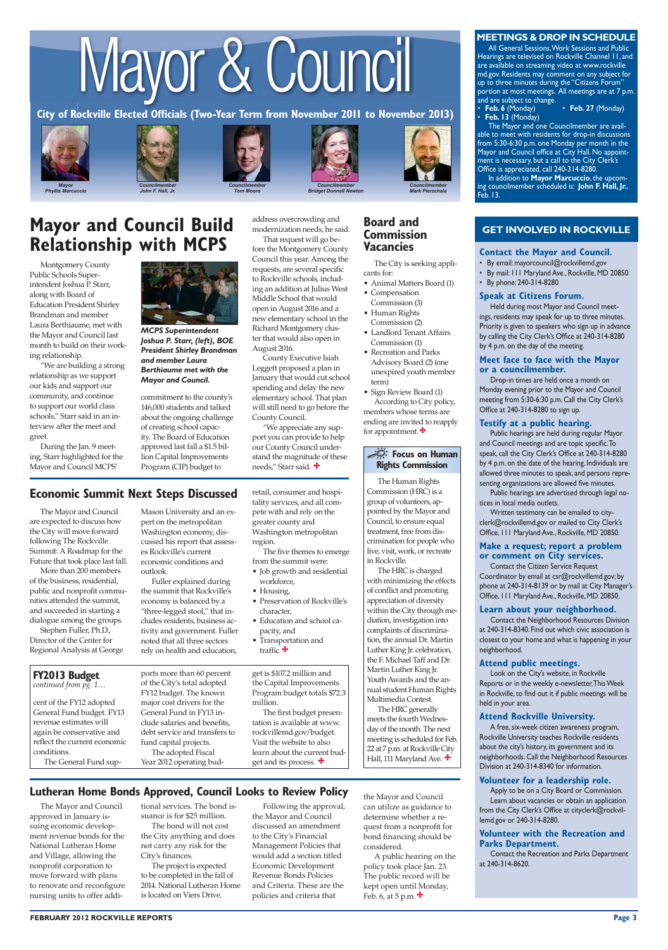

**Phyllis Marcuccio** 

## Councilmember *John F. Hall, Jr.*



## Mayor & Council



**Bridget Donnell Newton** 



**Mark Pierzchala** 



**City of Rockville Elected Officials (Two-Year Term from November 2011 to November 2013)**

#### **MEETINGS & DROP IN SCHEDULE**

#### **GET INVOLVED IN ROCKVILLE**

• **Feb. 6** (Monday) • **Feb. 27** (Monday) Feb. 6 (Monday)<br>**Feb. 13** (Monday)

All General Sessions, Work Sessions and Public Hearings are televised on Rockville Channel 11, and are available on streaming video at www.rockville md.gov. Residents may comment on any subject for up to three minutes during the "Citizens Forum" portion at most meetings. All meetings are at 7 p.m. and are subject to change.

members whose terms are ending are invited to reapply for appointment. $\ddot{\ddagger}$ 

The Mayor and one Councilmember are available to meet with residents for drop-in discussions from 5:30-6:30 p.m. one Monday per month in the Mayor and Council office at City Hall. No appointment is necessary, but a call to the City Clerk's Office is appreciated, call 240-314-8280.

In addition to **Mayor Marcuccio**, the upcoming councilmember scheduled is: **John F. Hall, Jr.**, Feb. 13.

#### **Board and Commission Vacancies**

The City is seeking applicants for:

- Animal Matters Board (1)
- Compensation Commission (3)
- Human Rights Commission (2)
- Landlord Tenant Affairs Commission (1)
- Recreation and Parks Advisory Board (2) (one unexpired youth member term)
- Sign Review Board (1) According to City policy,

#### **Contact the Mayor and Council.**

- By email: mayorcouncil@rockvillemd.gov
- By mail: 111 Maryland Ave., Rockville, MD 20850
- By phone: 240-314-8280

#### **Speak at Citizens Forum.**

Held during most Mayor and Council meetings, residents may speak for up to three minutes. Priority is given to speakers who sign up in advance by calling the City Clerk's Office at 240-314-8280 by 4 p.m. on the day of the meeting.

#### **Meet face to face with the Mayor or a councilmember.**

Drop-in times are held once a month on Monday evening prior to the Mayor and Council meeting from 5:30-6:30 p.m. Call the City Clerk's Office at 240-314-8280 to sign up.

#### **Testify at a public hearing.**

Public hearings are held during regular Mayor and Council meetings and are topic specific. To speak, call the City Clerk's Office at 240-314-8280 by 4 p.m. on the date of the hearing. Individuals are allowed three minutes to speak, and persons representing organizations are allowed five minutes.

Public hearings are advertised through legal notices in local media outlets.

Written testimony can be emailed to cityclerk@rockvillemd.gov or mailed to City Clerk's Office, 111 Maryland Ave., Rockville, MD 20850.

#### **Make a request; report a problem or comment on City services.**

Contact the Citizen Service Request Coordinator by email at csr@rockvillemd.gov; by phone at 240-314-8139 or by mail at City Manager's Office, 111 Maryland Ave., Rockville, MD 20850.

#### **Learn about your neighborhood.**

Contact the Neighborhood Resources Division at 240-314-8340. Find out which civic association is closest to your home and what is happening in your neighborhood.

#### **Attend public meetings.**

Look on the City's website, in Rockville Reports or in the weekly e-newsletter, This Week in Rockville, to find out it if public meetings will be held in your area.

#### **Attend Rockville University.**

A free, six-week citizen awareness program, Rockville University teaches Rockville residents

about the city's history, its government and its neighborhoods. Call the Neighborhood Resources Division at 240-314-8340 for information.

#### **Volunteer for a leadership role.**

Apply to be on a City Board or Commission. Learn about vacancies or obtain an application from the City Clerk's Office at cityclerk@rockvillemd.gov or 240-314-8280.

- Job growth and residential workforce,
- Housing,
- Preservation of Rockville's character,
- Education and school capacity, and
- Transportation and traffic.<sup>+</sup>

#### **Volunteer with the Recreation and Parks Department.**

Contact the Recreation and Parks Department at 240-314-8620.

Montgomery County Public Schools Superintendent Joshua P. Starr, along with Board of Education President Shirley Brandman and member Laura Berthiaume, met with the Mayor and Council last month to build on their working relationship.

"We are building a strong relationship as we support our kids and support our community, and continue to support our world class schools," Starr said in an interview after the meet and greet.

During the Jan. 9 meeting, Starr highlighted for the Mayor and Council MCPS'

## **Mayor and Council Build Relationship with MCPS**

22 at 7 p.m. at Rockville City Hall, 111 Maryland Ave.  $\ddagger$ 

The Mayor and Council approved in January issuing economic development revenue bonds for the National Lutheran Home and Village, allowing the nonprofit corporation to move forward with plans to renovate and reconfigure nursing units to offer addi-

A public hearing on the policy took place Jan. 23. The public record will be kept open until Monday, Feb. 6, at 5 p.m.  $\ddot{\bullet}$ 

#### **Lutheran Home Bonds Approved, Council Looks to Review Policy**

tional services. The bond issuance is for \$25 million. The bond will not cost the City anything and does not carry any risk for the City's finances.

The project is expected to be completed in the fall of 2014. National Lutheran Home is located on Viers Drive.

cent of the FY12 adopted General Fund budget. FY13 revenue estimates will again be conservative and

| reflect the current economic |
|------------------------------|
| conditions.                  |
| The General Fund sup-        |

ports more than 60 percent of the City's total adopted FY12 budget. The known major cost drivers for the General Fund in FY13 include salaries and benefits, debt service and transfers to

fund capital projects. The adopted Fiscal Year 2012 operating bud-

#### **FY2013 Budget**  *continued from pg. 1…*

#### e **Focus on Human Rights Commission**

commitment to the county's 146,000 students and talked about the ongoing challenge of creating school capacity. The Board of Education approved last fall a \$1.5 billion Capital Improvements Program (CIP) budget to

address overcrowding and modernization needs, he said. That request will go be-

fore the Montgomery County Council this year. Among the requests, are several specific to Rockville schools, including an addition at Julius West Middle School that would open in August 2016 and a new elementary school in the Richard Montgomery cluster that would also open in August 2016.

County Executive Isiah Leggett proposed a plan in January that would cut school spending and delay the new elementary school. That plan will still need to go before the County Council.

"We appreciate any support you can provide to help our County Council understand the magnitude of these needs," Starr said.

The Mayor and Council are expected to discuss how the City will move forward following The Rockville Summit: A Roadmap for the Future that took place last fall.

More than 200 members of the business, residential, public and nonprofit communities attended the summit, and succeeded in starting a dialogue among the groups.

Stephen Fuller, Ph.D., Director of the Center for Regional Analysis at George

#### **Economic Summit Next Steps Discussed**

Mason University and an expert on the metropolitan Washington economy, discussed his report that assesses Rockville's current economic conditions and outlook.

Fuller explained during the summit that Rockville's economy is balanced by a "three-legged stool," that includes residents, business activity and government. Fuller noted that all three sectors rely on health and education,

## retail, consumer and hospi-

tality services, and all compete with and rely on the greater county and Washington metropolitan region.

The five themes to emerge from the summit were:

get is \$107.2 million and the Capital Improvements Program budget totals \$72.3 million.

The first budget presentation is available at www. rockvillemd.gov/budget. Visit the website to also learn about the current budget and its process.

Following the approval, the Mayor and Council discussed an amendment to the City's Financial Management Policies that would add a section titled Economic Development Revenue Bonds Policies and Criteria. These are the policies and criteria that



*MCPS Superintendent Joshua P. Starr, (left), BOE President Shirley Brandman and member Laura Berthiaume met with the Mayor and Council.*

The Human Rights Commission (HRC) is a group of volunteers, appointed by the Mayor and Council, to ensure equal treatment, free from discrimination for people who live, visit, work, or recreate in Rockville.

The HRC is charged with minimizing the effects of conflict and promoting appreciation of diversity within the City through mediation, investigation into complaints of discrimination, the annual Dr. Martin Luther King Jr. celebration, the F. Michael Taff and Dr. Martin Luther King Jr. Youth Awards and the annual student Human Rights Multimedia Contest.

The HRC generally meets the fourth Wednesday of the month. The next meeting is scheduled for Feb.

the Mayor and Council can utilize as guidance to determine whether a request from a nonprofit for bond financing should be considered.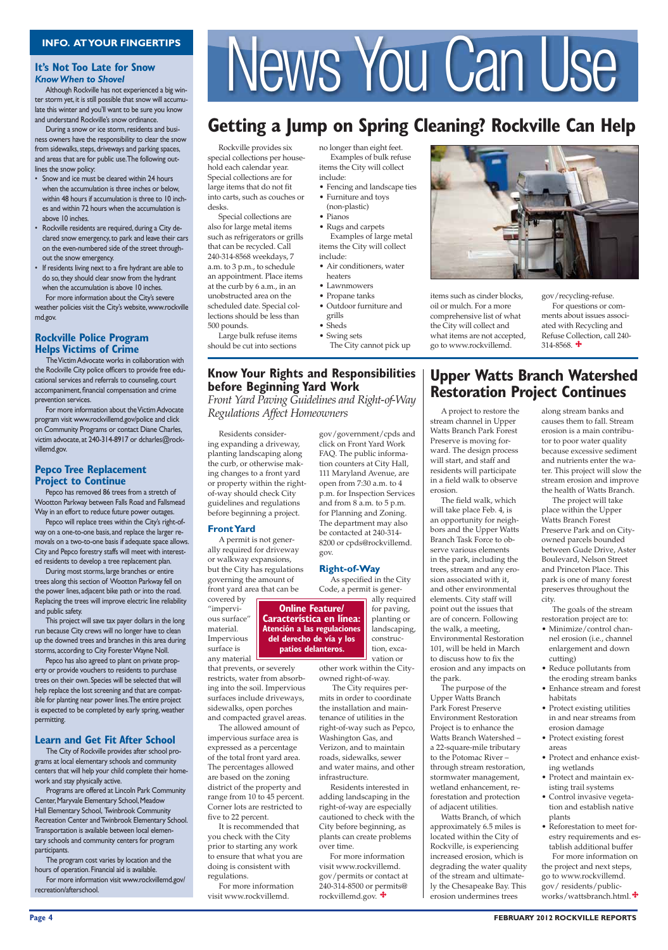#### **Page 4 FEBRUARY 2012 ROCKVILLE REPORTS**

Rockville provides six special collections per household each calendar year. Special collections are for large items that do not fit into carts, such as couches or desks.

Special collections are also for large metal items such as refrigerators or grills that can be recycled. Call 240-314-8568 weekdays, 7 a.m. to 3 p.m., to schedule an appointment. Place items at the curb by 6 a.m., in an unobstructed area on the scheduled date. Special collections should be less than 500 pounds.

Large bulk refuse items should be cut into sections

#### **It's Not Too Late for Snow** *Know When to Shovel*

Although Rockville has not experienced a big winter storm yet, it is still possible that snow will accumulate this winter and you'll want to be sure you know and understand Rockville's snow ordinance.

During a snow or ice storm, residents and business owners have the responsibility to clear the snow from sidewalks, steps, driveways and parking spaces, and areas that are for public use. The following outlines the snow policy:

- Snow and ice must be cleared within 24 hours when the accumulation is three inches or below, within 48 hours if accumulation is three to 10 inches and within 72 hours when the accumulation is above 10 inches.
- Rockville residents are required, during a City declared snow emergency, to park and leave their cars on the even-numbered side of the street throughout the snow emergency.
- If residents living next to a fire hydrant are able to do so, they should clear snow from the hydrant when the accumulation is above 10 inches.

For more information about the City's severe weather policies visit the City's website, www.rockville md.gov.

#### **Rockville Police Program Helps Victims of Crime**

 The Victim Advocate works in collaboration with the Rockville City police officers to provide free educational services and referrals to counseling, court accompaniment, financial compensation and crime prevention services.

For more information about the Victim Advocate program visit www.rockvillemd.gov/police and click on Community Programs or contact Diane Charles, victim advocate, at 240-314-8917 or dcharles@rockvillemd.gov.

#### **Pepco Tree Replacement Project to Continue**

Pepco has removed 86 trees from a stretch of Wootton Parkway between Falls Road and Fallsmead Way in an effort to reduce future power outages.

Pepco will replace trees within the City's right-ofway on a one-to-one basis, and replace the larger removals on a two-to-one basis if adequate space allows. City and Pepco forestry staffs will meet with interested residents to develop a tree replacement plan.

During most storms, large branches or entire trees along this section of Wootton Parkway fell on the power lines, adjacent bike path or into the road. Replacing the trees will improve electric line reliability and public safety.

This project will save tax payer dollars in the long run because City crews will no longer have to clean up the downed trees and branches in this area during storms, according to City Forester Wayne Noll.

Pepco has also agreed to plant on private property or provide vouchers to residents to purchase trees on their own. Species will be selected that will help replace the lost screening and that are compatible for planting near power lines. The entire project is expected to be completed by early spring, weather permitting.

#### **Learn and Get Fit After School**

## INFO. AT YOUR FINGERTIPS<br> **INFO. AT YOUR FINGERTIPS**<br>
Although Rockville has not experienced a big win-

 The City of Rockville provides after school programs at local elementary schools and community centers that will help your child complete their homework and stay physically active.

gov/recycling-refuse. For questions or comments about issues associated with Recycling and Refuse Collection, call 240- 314-8568.  $\bigstar$ 

 Programs are offered at Lincoln Park Community Center, Maryvale Elementary School, Meadow Hall Elementary School, Twinbrook Community Recreation Center and Twinbrook Elementary School. Transportation is available between local elementary schools and community centers for program participants.

 The program cost varies by location and the hours of operation. Financial aid is available.

 For more information visit www.rockvillemd.gov/ recreation/afterschool.

For more information visit www.rockvillemd. gov/permits or contact at 240-314-8500 or permits@ rockvillemd.gov.  $\mathbf{\ddot{+}}$ 

A project to restore the stream channel in Upper Watts Branch Park Forest Preserve is moving forward. The design process will start, and staff and residents will participate in a field walk to observe erosion.

The field walk, which will take place Feb. 4, is an opportunity for neighbors and the Upper Watts Branch Task Force to observe various elements in the park, including the trees, stream and any erosion associated with it, and other environmental elements. City staff will point out the issues that are of concern. Following the walk, a meeting, Environmental Restoration 101, will be held in March to discuss how to fix the erosion and any impacts on the park.

The purpose of the Upper Watts Branch Park Forest Preserve Environment Restoration Project is to enhance the Watts Branch Watershed – a 22-square-mile tributary to the Potomac River – through stream restoration, stormwater management, wetland enhancement, reforestation and protection of adjacent utilities. Watts Branch, of which approximately 6.5 miles is located within the City of Rockville, is experiencing increased erosion, which is degrading the water quality of the stream and ultimately the Chesapeake Bay. This erosion undermines trees

 Residents considering expanding a driveway, planting landscaping along the curb, or otherwise making changes to a front yard or property within the rightof-way should check City guidelines and regulations before beginning a project.

#### **Front Yard**

 A permit is not generally required for driveway or walkway expansions, but the City has regulations governing the amount of front yard area that can be

## covered by

"impervious surface" material. Impervious

surface is

any material that prevents, or severely restricts, water from absorbing into the soil. Impervious surfaces include driveways, sidewalks, open porches and compacted gravel areas.

 The allowed amount of impervious surface area is

expressed as a percentage of the total front yard area. The percentages allowed are based on the zoning district of the property and range from 10 to 45 percent. Corner lots are restricted to five to 22 percent.

 It is recommended that you check with the City prior to starting any work to ensure that what you are doing is consistent with regulations.

 For more information visit www.rockvillemd.

## **Getting a Jump on Spring Cleaning? Rockville Can Help**

no longer than eight feet. Examples of bulk refuse items the City will collect include:

• Fencing and landscape ties

• Furniture and toys (non-plastic)

• Pianos

• Rugs and carpets Examples of large metal items the City will collect

- include: • Air conditioners, water
- heaters
- Lawnmowers
- Propane tanks
- Outdoor furniture and grills

• Sheds

• Swing sets The City cannot pick up items such as cinder blocks, oil or mulch. For a more comprehensive list of what the City will collect and what items are not accepted, go to www.rockvillemd.

#### **Know Your Rights and Responsibilities before Beginning Yard Work**

Front Yard Paving Guidelines and Right-of-Way *Regulations Affect Homeowners* 

> gov/government/cpds and click on Front Yard Work FAQ. The public information counters at City Hall, 111 Maryland Avenue, are open from 7:30 a.m. to 4 p.m. for Inspection Services and from 8 a.m. to 5 p.m. for Planning and Zoning. The department may also be contacted at 240-314- 8200 or cpds@rockvillemd. gov.

#### **Right-of-Way**

 As specified in the City Code, a permit is gener-

> ally required for paving, planting or landscaping, construction, excavation or

other work within the Cityowned right-of-way.

 The City requires permits in order to coordinate the installation and maintenance of utilities in the right-of-way such as Pepco, Washington Gas, and



Verizon, and to maintain roads, sidewalks, sewer and water mains, and other infrastructure.

 Residents interested in adding landscaping in the right-of-way are especially cautioned to check with the City before beginning, as plants can create problems over time.

#### **Upper Watts Branch Watershed Restoration Project Continues**

along stream banks and causes them to fall. Stream erosion is a main contributor to poor water quality because excessive sediment and nutrients enter the water. This project will slow the stream erosion and improve the health of Watts Branch.

The project will take place within the Upper Watts Branch Forest Preserve Park and on Cityowned parcels bounded between Gude Drive, Aster Boulevard, Nelson Street and Princeton Place. This park is one of many forest preserves throughout the city.

The goals of the stream restoration project are to:

- Minimize/control channel erosion (i.e., channel enlargement and down cutting)
- Reduce pollutants from the eroding stream banks
- Enhance stream and forest habitats
- Protect existing utilities in and near streams from erosion damage
- Protect existing forest

areas

- Protect and enhance existing wetlands
- Protect and maintain existing trail systems
- Control invasive vegetation and establish native plants
- Reforestation to meet forestry requirements and establish additional buffer For more information on the project and next steps, go to www.rockvillemd. gov/ residents/publicworks/wattsbranch.html.

**Online Feature/ Característica en línea:**

**Atención a las regulaciones del derecho de vía y los patios delanteros.**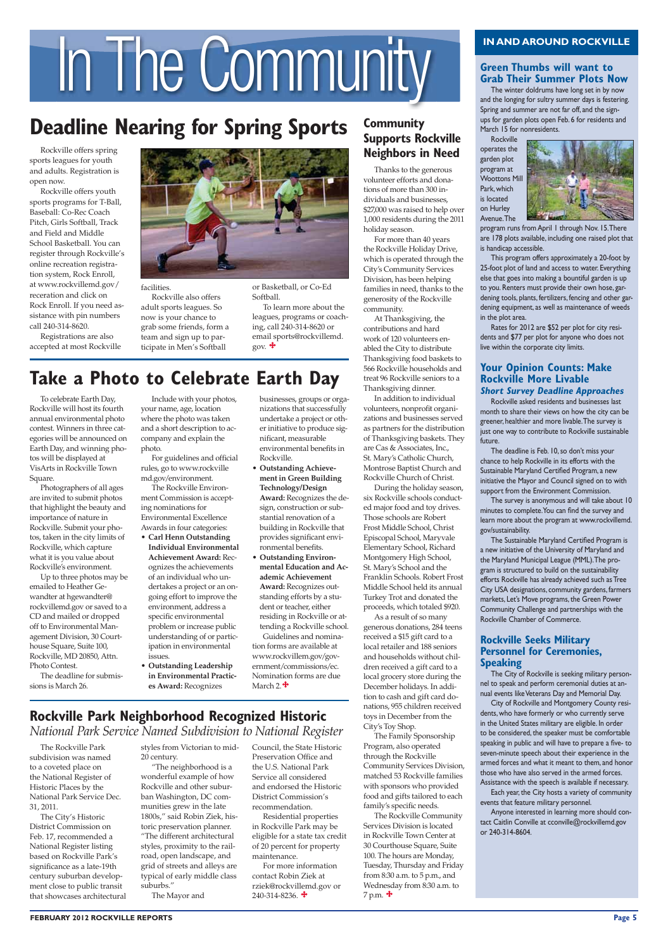#### **FEBRUARY 2012 ROCKVILLE REPORTS Page 5**

Rockville offers spring sports leagues for youth and adults. Registration is open now.

Rockville offers youth sports programs for T-Ball, Baseball: Co-Rec Coach Pitch, Girls Softball, Track and Field and Middle School Basketball. You can register through Rockville's online recreation registration system, Rock Enroll, at www.rockvillemd.gov/ receration and click on Rock Enroll. If you need assistance with pin numbers call 240-314-8620.

Registrations are also accepted at most Rockville



To celebrate Earth Day, Rockville will host its fourth annual environmental photo contest. Winners in three categories will be announced on Earth Day, and winning photos will be displayed at VisArts in Rockville Town Square.

**Rockville** operates the garden plot program at Woottons Mill Park, which is located on Hurley Avenue. The



Photographers of all ages are invited to submit photos that highlight the beauty and importance of nature in Rockville. Submit your photos, taken in the city limits of Rockville, which capture what it is you value about Rockville's environment.

Up to three photos may be emailed to Heather Gewandter at hgewandter@ rockvillemd.gov or saved to a CD and mailed or dropped off to Environmental Management Division, 30 Courthouse Square, Suite 100, Rockville, MD 20850, Attn. Photo Contest.

The deadline for submissions is March 26.

#### **Green Thumbs will want to Grab Their Summer Plots Now**

The winter doldrums have long set in by now and the longing for sultry summer days is festering. Spring and summer are not far off, and the signups for garden plots open Feb. 6 for residents and March 15 for nonresidents.

program runs from April 1 through Nov. 15. There are 178 plots available, including one raised plot that is handicap accessible.

This program offers approximately a 20-foot by 25-foot plot of land and access to water. Everything else that goes into making a bountiful garden is up to you. Renters must provide their own hose, gardening tools, plants, fertilizers, fencing and other gardening equipment, as well as maintenance of weeds in the plot area.

Rates for 2012 are \$52 per plot for city residents and \$77 per plot for anyone who does not live within the corporate city limits.

#### **Your Opinion Counts: Make Rockville More Livable**

**Short Survey Deadline Approaches**

Rockville asked residents and businesses last month to share their views on how the city can be greener, healthier and more livable. The survey is just one way to contribute to Rockville sustainable future.

The deadline is Feb. 10, so don't miss your chance to help Rockville in its efforts with the Sustainable Maryland Certified Program, a new initiative the Mayor and Council signed on to with support from the Environment Commission.

The survey is anonymous and will take about 10 minutes to complete. You can find the survey and learn more about the program at www.rockvillemd. gov/sustainability.

The Rockville Community Services Division is located in Rockville Town Center at 30 Courthouse Square, Suite 100. The hours are Monday, Tuesday, Thursday and Friday from 8:30 a.m. to 5 p.m., and Wednesday from 8:30 a.m. to  $7 p.m.$   $\bigoplus$ 

The Sustainable Maryland Certified Program is a new initiative of the University of Maryland and the Maryland Municipal League (MML). The program is structured to build on the sustainability efforts Rockville has already achieved such as Tree City USA designations, community gardens, farmers markets, Let's Move programs, the Green Power Community Challenge and partnerships with the Rockville Chamber of Commerce.

#### **Rockville Seeks Military Personnel for Ceremonies, Speaking**

To learn more about the leagues, programs or coaching, call 240-314-8620 or email sports@rockvillemd. gov.  $\ddot{\mathbf{\tau}}$ 

> The City of Rockville is seeking military personnel to speak and perform ceremonial duties at annual events like Veterans Day and Memorial Day.

City of Rockville and Montgomery County residents, who have formerly or who currently serve in the United States military are eligible. In order to be considered, the speaker must be comfortable speaking in public and will have to prepare a five- to seven-minute speech about their experience in the armed forces and what it meant to them, and honor those who have also served in the armed forces. Assistance with the speech is available if necessary. Each year, the City hosts a variety of community events that feature military personnel. Anyone interested in learning more should contact Caitlin Conville at cconville@rockvillemd.gov or 240-314-8604.

#### **Rockville Park Neighborhood Recognized Historic** *National Park Service Named Subdivision to National Register*

#### **Community Supports Rockville Neighbors in Need**

Thanks to the generous volunteer efforts and donations of more than 300 individuals and businesses, \$27,000 was raised to help over 1,000 residents during the 2011 holiday season.

For more than 40 years the Rockville Holiday Drive, which is operated through the City's Community Services Division, has been helping families in need, thanks to the generosity of the Rockville community.

For more information contact Robin Ziek at rziek@rockvillemd.gov or  $240 - 314 - 8236$ .

At Thanksgiving, the contributions and hard work of 120 volunteers enabled the City to distribute Thanksgiving food baskets to 566 Rockville households and treat 96 Rockville seniors to a Thanksgiving dinner.

In addition to individual volunteers, nonprofit organizations and businesses served as partners for the distribution of Thanksgiving baskets. They are Cas & Associates, Inc., St. Mary's Catholic Church, Montrose Baptist Church and Rockville Church of Christ.

During the holiday season, six Rockville schools conducted major food and toy drives. Those schools are Robert Frost Middle School, Christ Episcopal School, Maryvale Elementary School, Richard Montgomery High School, St. Mary's School and the Franklin Schools. Robert Frost Middle School held its annual Turkey Trot and donated the proceeds, which totaled \$920.

As a result of so many generous donations, 284 teens received a \$15 gift card to a local retailer and 188 seniors and households without children received a gift card to a local grocery store during the December holidays. In addition to cash and gift card donations, 955 children received toys in December from the City's Toy Shop.

The Family Sponsorship

Program, also operated through the Rockville Community Services Division, matched 53 Rockville families with sponsors who provided food and gifts tailored to each family's specific needs.

The Rockville Park subdivision was named to a coveted place on the National Register of Historic Places by the National Park Service Dec. 31, 2011.

The City's Historic District Commission on Feb. 17, recommended a National Register listing based on Rockville Park's significance as a late-19th century suburban development close to public transit that showcases architectural

## IN AND AROUND ROCKVILLE<br> **IN AND AROUND ROCKVILLE**<br> **IN AND AROUND ROCKVILLE**<br> **IN AND AROUND ROCKVILLE**<br> **IN AND AROUND ROCKVILLE**<br> **IN AND AROUND ROCKVILLE**<br> **IN AND AROUND ROCKVILLE**<br> **IN AND AROUND ROCKVILLE**

## **Deadline Nearing for Spring Sports**

facilities.

Rockville also offers adult sports leagues. So now is your chance to grab some friends, form a team and sign up to participate in Men's Softball

or Basketball, or Co-Ed Softball.

## **Take a Photo to Celebrate Earth Day**

Include with your photos, your name, age, location where the photo was taken and a short description to accompany and explain the photo.

For guidelines and official rules, go to www.rockville md.gov/environment.

The Rockville Environment Commission is accepting nominations for Environmental Excellence Awards in four categories:

- **Carl Henn Outstanding**
- **Individual Environmental Achievement Award:** Recognizes the achievements of an individual who undertakes a project or an ongoing effort to improve the environment, address a specific environmental problem or increase public understanding of or participation in environmental issues.
- **Outstanding Leadership in Environmental Practices Award:** Recognizes

businesses, groups or organizations that successfully undertake a project or other initiative to produce significant, measurable environmental benefits in Rockville.

- **Outstanding Achievement in Green Building Technology/Design Award:** Recognizes the design, construction or substantial renovation of a building in Rockville that provides significant environmental benefits.
- **Outstanding Environmental Education and Academic Achievement Award:** Recognizes outstanding efforts by a student or teacher, either residing in Rockville or attending a Rockville school. Guidelines and nomination forms are available at www.rockvillem.gov/government/commissions/ec. Nomination forms are due

## March 2. $\bigstar$

styles from Victorian to mid-20 century.

"The neighborhood is a wonderful example of how Rockville and other suburban Washington, DC communities grew in the late 1800s," said Robin Ziek, historic preservation planner. "The different architectural styles, proximity to the railroad, open landscape, and grid of streets and alleys are typical of early middle class suburbs."

The Mayor and

Council, the State Historic Preservation Office and the U.S. National Park Service all considered and endorsed the Historic District Commission's recommendation.

Residential properties in Rockville Park may be eligible for a state tax credit of 20 percent for property maintenance.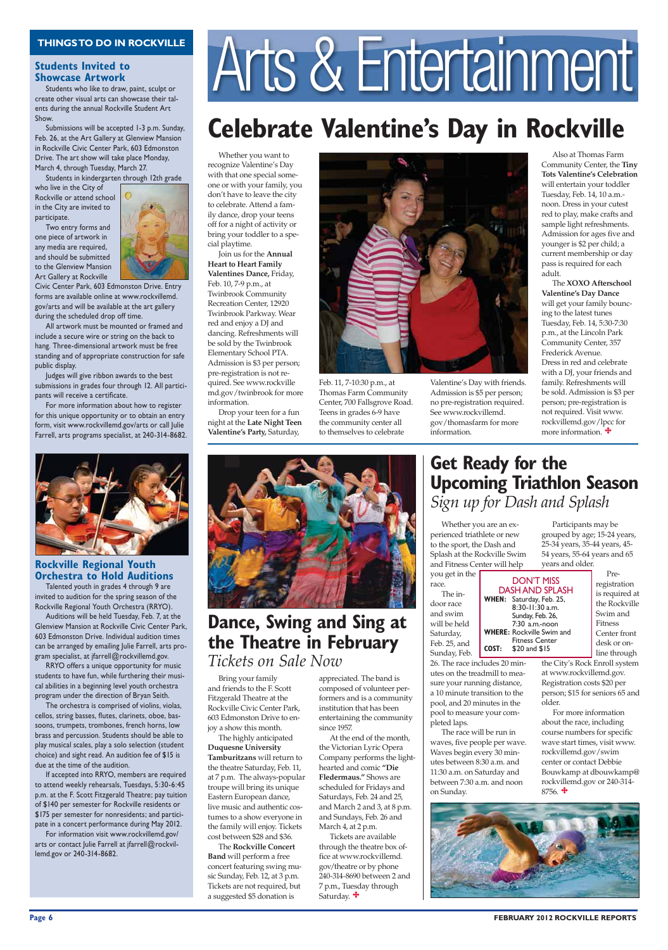#### **Page 6 FEBRUARY 2012 ROCKVILLE REPORTS**

Bring your family and friends to the F. Scott Fitzgerald Theatre at the Rockville Civic Center Park, 603 Edmonston Drive to enjoy a show this month.

The highly anticipated **Duquesne University Tamburitzans** will return to the theatre Saturday, Feb. 11, at 7 p.m. The always-popular troupe will bring its unique Eastern European dance, live music and authentic costumes to a show everyone in the family will enjoy. Tickets cost between \$28 and \$36. The **Rockville Concert Band** will perform a free concert featuring swing music Sunday, Feb. 12, at 3 p.m. Tickets are not required, but a suggested \$5 donation is

 Whether you are an experienced triathlete or new to the sport, the Dash and Splash at the Rockville Swim and Fitness Center will help you get in t

Whether you want to recognize Valentine's Day with that one special someone or with your family, you don't have to leave the city to celebrate. Attend a family dance, drop your teens off for a night of activity or bring your toddler to a special playtime.

Join us for the **Annual Heart to Heart Family Valentines Dance,** Friday, Feb. 10, 7-9 p.m., at Twinbrook Community Recreation Center, 12920 Twinbrook Parkway. Wear red and enjoy a DJ and dancing. Refreshments will be sold by the Twinbrook Elementary School PTA. Admission is \$3 per person; pre-registration is not required. See www.rockville md.gov/twinbrook for more information.

Drop your teen for a fun night at the **Late Night Teen Valentine's Party,** Saturday,



26. The race includes 20 minutes on the treadmill to measure your running distance, a 10 minute transition to the pool, and 20 minutes in the pool to measure your com-



pleted laps.

The race will be run in

waves, five people per wave. Waves begin every 30 minutes between 8:30 a.m. and 11:30 a.m. on Saturday and between 7:30 a.m. and noon on Sunday.

#### **Students Invited to Showcase Artwork**

Students who like to draw, paint, sculpt or create other visual arts can showcase their talents during the annual Rockville Student Art Show.

Submissions will be accepted 1-3 p.m. Sunday, Feb. 26, at the Art Gallery at Glenview Mansion in Rockville Civic Center Park, 603 Edmonston Drive. The art show will take place Monday, March 4, through Tuesday, March 27.

Students in kindergarten through 12th grade

who live in the City of Rockville or attend school in the City are invited to participate.

Two entry forms and one piece of artwork in any media are required, and should be submitted to the Glenview Mansion Art Gallery at Rockville

> will get your family bouncing to the latest tunes Tuesday, Feb. 14, 5:30-7:30 p.m., at the Lincoln Park Community Center, 357 Frederick Avenue. Dress in red and celebrate with a DJ, your friends and family. Refreshments will be sold. Admission is \$3 per person; pre-registration is not required. Visit www. rockvillemd.gov/lpcc for more information.



Civic Center Park, 603 Edmonston Drive. Entry forms are available online at www.rockvillemd. gov/arts and will be available at the art gallery during the scheduled drop off time.

### **Dance, Swing and Sing at the Theatre in February**  *Tickets on Sale Now*

All artwork must be mounted or framed and include a secure wire or string on the back to hang. Three-dimensional artwork must be free standing and of appropriate construction for safe public display.

> the Victorian Lyric Opera Company performs the lighthearted and comic **"Die Fledermaus."** Shows are scheduled for Fridays and Saturdays, Feb. 24 and 25, and March 2 and 3, at 8 p.m. and Sundays, Feb. 26 and March 4, at 2 p.m. Tickets are available through the theatre box office at www.rockvillemd. gov/theatre or by phone 240-314-8690 between 2 and 7 p.m., Tuesday through Saturday.  $\ddot{\bullet}$

Judges will give ribbon awards to the best submissions in grades four through 12. All participants will receive a certificate.

### **Get Ready for the Upcoming Triathlon Season** *Sign up for Dash and Splash*

For more information about how to register for this unique opportunity or to obtain an entry form, visit www.rockvillemd.gov/arts or call Julie Farrell, arts programs specialist, at 240-314-8682.



## THINGS TO DO IN ROCKVILLE<br>Students Invited to<br>Showcase Artwork<br>Showcase Artwork

#### **Rockville Regional Youth Orchestra to Hold Auditions**

 For more information about the race, including course numbers for specific wave start times, visit www. rockvillemd.gov/swim center or contact Debbie Bouwkamp at dbouwkamp@ rockvillemd.gov or 240-314-  $8756.$   $\bigoplus$ 

Talented youth in grades 4 through 9 are invited to audition for the spring season of the Rockville Regional Youth Orchestra (RRYO).

Auditions will be held Tuesday, Feb. 7, at the Glenview Mansion at Rockville Civic Center Park, 603 Edmonston Drive. Individual audition times can be arranged by emailing Julie Farrell, arts program specialist, at jfarrell@rockvillemd.gov.

RRYO offers a unique opportunity for music students to have fun, while furthering their musical abilities in a beginning level youth orchestra program under the direction of Bryan Seith.

The orchestra is comprised of violins, violas, cellos, string basses, flutes, clarinets, oboe, bassoons, trumpets, trombones, french horns, low brass and percussion. Students should be able to



play musical scales, play a solo selection (student choice) and sight read. An audition fee of \$15 is due at the time of the audition.

| $m_{\rm H}$ increase control with from |       |                          | v calo alia o                    |
|----------------------------------------|-------|--------------------------|----------------------------------|
| you get in the                         |       |                          |                                  |
| race.                                  |       | <b>DON'T MISS</b>        |                                  |
| The in-                                |       |                          | <b>DASH AND SPLASH</b>           |
| door race                              |       | WHEN: Saturday, Feb. 25, |                                  |
| and swim                               |       | 8:30-11:30 a.m.          |                                  |
|                                        |       | Sunday, Feb. 26,         |                                  |
| will be held                           |       | 7:30 a.m.-noon           |                                  |
| Saturday,                              |       | <b>Fitness Center</b>    | <b>WHERE: Rockville Swim and</b> |
| Feb. 25, and                           | COST: | \$20 and \$15            |                                  |
| Sunday, Feb.                           |       |                          |                                  |

If accepted into RRYO, members are required to attend weekly rehearsals, Tuesdays, 5:30-6:45 p.m. at the F. Scott Fitzgerald Theatre; pay tuition of \$140 per semester for Rockville residents or \$175 per semester for nonresidents; and participate in a concert performance during May 2012. For information visit www.rockvillemd.gov/ arts or contact Julie Farrell at jfarrell@rockvillemd.gov or 240-314-8682.

## **Celebrate Valentine's Day in Rockville**

Feb. 11, 7-10:30 p.m., at Thomas Farm Community Center, 700 Fallsgrove Road. Teens in grades 6-9 have the community center all to themselves to celebrate

Valentine's Day with friends. Admission is \$5 per person; no pre-registration required. See www.rockvillemd. gov/thomasfarm for more

information.

Also at Thomas Farm Community Center, the **Tiny Tots Valentine's Celebration** will entertain your toddler

Tuesday, Feb. 14, 10 a.m. noon. Dress in your cutest red to play, make crafts and sample light refreshments. Admission for ages five and younger is \$2 per child; a current membership or day pass is required for each adult. The **XOXO Afterschool Valentine's Day Dance**

appreciated. The band is composed of volunteer performers and is a community institution that has been entertaining the community since 1957.

At the end of the month,

Participants may be grouped by age; 15-24 years, 25-34 years, 35-44 years, 45- 54 years, 55-64 years and 65 years and older.

Pre-

registration is required at the Rockville Swim and Fitness Center front desk or online through

the City's Rock Enroll system at www.rockvillemd.gov. Registration costs \$20 per person; \$15 for seniors 65 and older.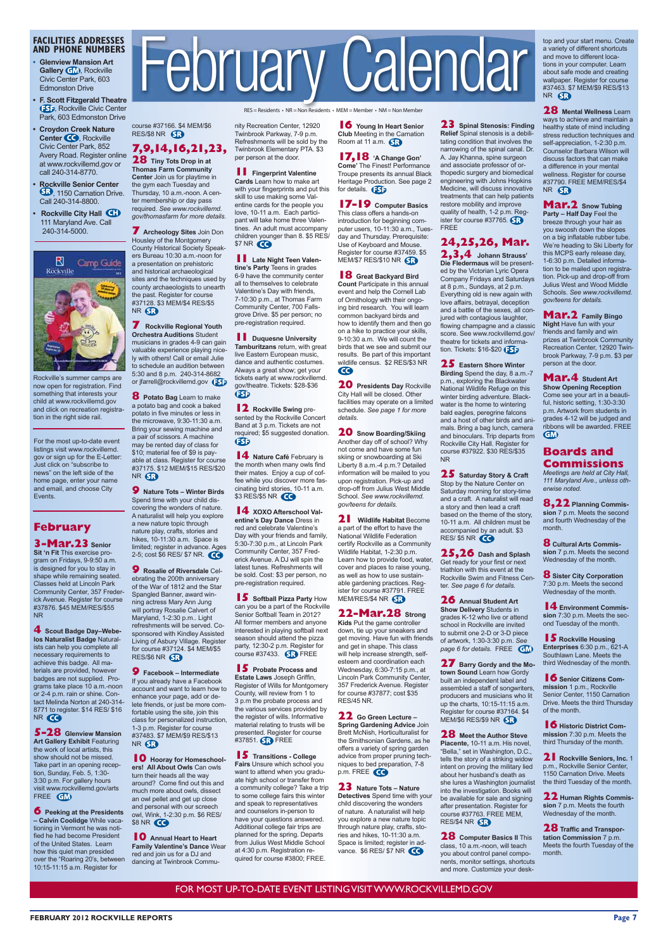**FEBRUARY 2012 ROCKVILLE REPORTS Page 7**

#### **FACILITIES ADDRESSES AND PHONE NUMBERS**

- **Glenview Mansion Art Gallery GM**, Rockville Civic Center Park, 603 **Edmonston Drive**
- **F. Scott Fitzgerald Theatre 55**, Rockville Civic Center Park, 603 Edmonston Drive

course #37166. \$4 MEM/\$6 RES/\$8 NR 6R

NR 6B

NR SR

**7** Rockville Regional Youth **2DFChestra Auditions Student** musicians in grades 4-9 can gain valuable experience playing nice-Iy with others! Call or email Julie to schedule an audition between 5:30 and 8 p.m. 240-314-8682 or jfarrell@rockvillemd.gov **8** Potato Bag Learn to make a potato bag and cook a baked potato in five minutes or less in the microwave,  $9:30-11:30$  a.m. Bring your sewing machine and a pair of scissors. A machine may be rented day of class for \$10; material fee of \$9 is payable at class. Register for course #37175. \$12 MEM/\$15 RES/\$20

**9** Nature Tots - Winter Birds Spend time with your child discovering the wonders of nature. A naturalist will help you explore a new nature topic through nature play, crafts, stories and hikes, 10-11:30 a.m. Space is limited; register in advance. Ages 2-5; cost \$6 RES/ \$7 NR. **9** Rosalie of Riversdale Celebrating the 200th anniversary of the War of 1812 and the Star Spangled Banner, award winning actress Mary Ann Jung will portray Rosalie Calvert of Maryland, 1-2:30 p.m.. Light refreshments will be served. Cosponsored with Kindley Assisted Living of Asbury Village. Register for course #37124. \$4 MEM/\$5

RES = Residents • NR = Non Residents • MEM = Member • NM = Non Member

nity Recreation Center, 12920 Twinbrook Parkway, 7-9 p.m. Refreshments will be sold by the Twinbrook Elementary PTA. \$3 per person at the door.

**1 E** Fingerprint Valentine **Cards** Learn how to make art with your fingerprints and put this skill to use making some Valentine cards for the people you love, 10-11 a.m. Each participant will take home three Valenines. An adult must accompany children younger than 8. \$5 RES/ \$7 NR **40** 

**1** Late Night Teen Valen**tine's Party Teens in grades** 6-9 have the community center all to themselves to celebrate Valentine's Day with friends, 7-10:30 p.m., at Thomas Farm Community Center, 700 Fallsgrove Drive. \$5 per person; no pre-registration required.

**11** Duquesne University **Tamburitzans** return, with great live Eastern European music. dance and authentic costumes. Always a great show: get your tickets early at www.rockvillemd. gov/theatre. Tickets: \$28-\$36  $\bigoplus$ 

**12** Rockville Swing presented by the Rockville Concert Band at 3 p.m. Tickets are not required; \$5 suggested donation. **GSD** 

**14** Nature Café February is the month when many owls find their mates. Enjoy a cup of coffee while you discover more fascinating bird stories, 10-11 a.m. \$3 RES/\$5 NR **CO** 

**14 xOXO** Afterschool Val**entine's Day Dance Dress in** red and celebrate Valentine's Day with your friends and family, 5:30-7:30 p.m., at Lincoln Park Community Center, 357 Frederick Avenue. A DJ will spin the latest tunes. Refreshments will be sold. Cost: \$3 per person, no pre-registration required.

**15** Softball Pizza Party How can you be a part of the Rockville Senior Softball Team in 2012? All former members and anyone interested in playing softball next season should attend the pizza party, 12:30-2 p.m. Register for course #37433.  $\bigodot$  FREE

**15** Probate Process and **Estate Laws** Joseph Griffin, Register of Wills for Montgomery County, will review from 1 to 3 p.m the probate process and the various services provided by the register of wills. Informative material relating to trusts will be presented. Register for course  $\#37851$   $\bigodot$  FRFF

**16** Young In Heart Senior **Club** Meeting in the Carnation Room at 11 a.m.

**17,18 A Change Gon' Come'** The Finest! Performance Troupe presents its annual Black Heritage Production. See page 2 for details. **B** 

**17-19** Computer Basics This class offers a hands-on introduction for beginning computer users, 10-11:30 a.m., Tuesday and Thursday. Prerequisite: Use of Keyboard and Mouse. Register for course #37459. \$5 MEM/\$7 RES/\$10 NR 63

**18** Great Backyard Bird **Count Participate in this annual** event and help the Cornell Lab of Ornithology with their ongoing bird research. You will learn common backyard birds and how to identify them and then go on a hike to practice your skills, 9-10:30 a.m. We will count the birds that we see and submit our results Be part of this important wildlife census. \$2 RES/\$3 NR  $\bullet$ 

**20** Presidents Day Rockville City Hall will be closed. Other facilities may operate on a limited schedule. See page 1 for more details.

**20** Snow Boarding/Skiing Another day off of school? Why not come and have some fun skiing or snowboarding at Ski Liberty 8 a.m.-4 p.m.? Detailed information will be mailed to you upon registration. Pick-up and drop-off from Julius West Middle School. See www.rockvillemd. gov/teens for details.

**21** Wildlife Habitat Become a part of the effort to have the National Wildlife Federation certify Rockville as a Community Wildlife Habitat, 1-2:30 p.m. Learn how to provide food, water, cover and places to raise young, as well as how to use sustainable gardening practices. Register for course #37791. FREE MEM/RES/\$4 NR 63

**22-Mar.28** Strong Kids Put the game controller down, tie up your sneakers and get moving. Have fun with friends and get in shape. This class will help increase strength, selfesteem and coordination each Wednesday,  $6:30-7:15$  p.m., at Lincoln Park Community Center, 357 Frederick Avenue. Register for course #37877; cost \$35 **RES/45 NR.** 

**22** Go Green Lecture -**Spring Gardening Advice Join** Brett McNish, Horticulturalist for the Smithsonian Gardens as he offers a variety of spring garden advice from proper pruning techniques to bed preparation, 7-8  $p.m.$  FREE  $\bigodot$ 

**23** Spinal Stenosis: Finding **Relief** Spinal stenosis is a debilitating condition that involves the narrowing of the spinal canal. Dr. A. Jay Khanna, spine surgeon and associate professor of orthopedic surgery and biomedical engineering with Johns Hopkins Medicine, will discuss innovative treatments that can help patients restore mobility and improve quality of health, 1-2 p.m. Register for course #37765. $\mathbf{S}$ **FREE** 

FOR MOST UP-TO-DATE EVENT LISTING VISIT WWW.ROCKVILLEMD.GOV

**7,9,14,16,21,23, 28** Tiny Tots Drop in at **Thomas Farm Community** Center Join us for playtime in the gym each Tuesday and Thursday, 10 a.m.-noon. A center membership or day pass required. See www.rockvillemd. gov/thomasfarm for more details. **7** Archeology Sites Join Don Housley of the Montgomery County Historical Society Speakers Bureau 10:30 a.m.-noon for a presentation on prehistoric and historical archaeological sites and the techniques used by county archaeologists to unearth the past. Register for course #37128. \$3 MEM/\$4 RES/\$5

- **Croydon Creek Nature** Center **CO**, Rockville Civic Center Park, 852 Avery Road. Register online at www.rockvillemd.gov or call 240-314-8770.
- **Rockville Senior Center** , 1150 Carnation Drive. Call 240-314-8800.
- **Rockville City Hall** 111 Maryland Ave. Call 240-314-5000.



Rockville's summer camps are now open for registration. Find something that interests your child at www.rockvillemd.gov and click on recreation registration in the right side rail.

For the most up-to-date event listings visit www.rockvillemd. gov or sign up for the E-Letter: Just click on "subscribe to news" on the left side of the home page, enter your name and email, and choose City Events.

#### **February**

**3-Mar.23** Senior

**Sit 'n Fit This exercise pro**gram on Fridays, 9-9:50 a.m. is designed for you to stay in shape while remaining seated. Classes held at Lincoln Park Community Center, 357 Frederick Avenue. Register for course #37876. \$45 MEM/RES/\$55 N<sub>R</sub>

4 Scout Badge Day-Webe-**Ios Naturalist Badge Natural**ists can help you complete all necessary requirements to achieve this badge. All materials are provided, however badges are not supplied. Programs take place 10 a.m.-noon or 2-4 p.m. rain or shine. Contact Melinda Norton at 240-314-8771 to register. \$14 RES/ \$16 NR CO

**5-28** Glenview Mansion **Art Gallery Exhibit** Featuring the work of local artists, this show should not be missed. Take part in an opening reception, Sunday, Feb. 5, 1:30-3:30 p.m. For gallery hours visit www.rockvillemd.gov/arts FREE **GM** 

## February Calendar

**24,25,26, Mar.** 

**2,3,4** Johann Strauss' **Die Fledermaus will be present**ed by the Victorian Lyric Opera Company Fridays and Saturdays at 8 p.m., Sundays, at 2 p.m. Everything old is new again with love affairs, betrayal, deception and a battle of the sexes, all conjured with contagious laughter, flowing champagne and a classic score. See www.rockvillemd.gov/ theatre for tickets and information. Tickets:  $$16-$20$ 

**25** Eastern Shore Winter Birding Spend the day, 8 a.m.-7 p.m., exploring the Blackwater National Wildlife Refuge on this winter birding adventure. Blackwater is the home to wintering bald eagles, peregrine falcons and a host of other birds and animals. Bring a bag lunch, camera and binoculars. Trip departs from Rockville City Hall. Register for course #37922. \$30 RES/\$35 N<sub>R</sub>

**25** Saturday Story & Craft Stop by the Nature Center on Saturday morning for story-time and a craft. A naturalist will read a story and then lead a craft based on the theme of the story, 10-11 a.m. All children must be accompanied by an adult. \$3 RES/\$5 NR CO

**25,26** Dash and Splash Get ready for your first or next triathlon with this event at the Rockville Swim and Fitness Center. See page 6 for details.

**26** Annual Student Art **Show Delivery** Students in grades K-12 who live or attend school in Rockville are invited to submit one 2-D or 3-D piece of artwork, 1:30-3:30 p.m. See page 6 for details. FREE **GM** 

**27** Barry Gordy and the Motown Sound Learn how Gordy built an independent label and assembled a staff of songwriters, producers and musicians who lit up the charts,  $10:15-11:15$  a.m. Register for course #37164. \$4 MEM/\$6 RES/\$9 NR 6R

**28** Meet the Author Steve

top and your start menu. Create a variety of different shortcuts and move to different locations in your computer. Learn about safe mode and creating wallpaper. Register for course #37463. \$7 MEM/\$9 RES/\$13 NR SR

**28 Mental Wellness Learn** ways to achieve and maintain a healthy state of mind including stress reduction techniques and self-appreciation, 1-2:30 p.m. Counselor Barbara Wilson will discuss factors that can make a difference in your mental wellness. Register for course #37790. FREE MEM/RES/\$4 NR 6R

**Mar.2** Snow Tubing

**Party – Half Day Feel the** breeze through your hair as you swoosh down the slopes on a big inflatable rubber tube. We're heading to Ski Liberty for this MCPS early release day, 1-6:30 p.m. Detailed information to be mailed upon registration. Pick-up and drop-off from Julius West and Wood Middle Schools. See www.rockvillemd. gov/teens for details.

**Mar.2** Family Bingo **Night Have fun with your** friends and family and win prizes at Twinbrook Community Recreation Center, 12920 Twinbrook Parkway, 7-9 p.m. \$3 per person at the door.

**Mar.4** Student Art **Show Opening Reception** Come see your art in a beautiful, historic setting, 1:30-3:30 p.m. Artwork from students in grades 4-12 will be judged and  $ri$ bhons will be awarded  $E$ RFF GM

#### **Boards and Commissions**

*Meetings are held at City Hall,* 111 Maryland Ave., unless otherwise noted.

**8,22** Planning Commission 7 p.m. Meets the second and fourth Wednesday of the month

**8** Cultural Arts Commission 7 p.m. Meets the second Wednesday of the month.

**8** Sister City Corporation 7:30 p.m. Meets the second Wednesday of the month.

**14** Environment Commission 7:30 p.m. Meets the second Tuesday of the month.

**15** Rockville Housing **Enterprises 6:30 p.m., 621-A** Southlawn Lane. Meets the third Wednesday of the month.

**16** Senior Citizens Com**mission** 1 p.m., Rockville Senior Center, 1150 Carnation Drive. Meets the third Thursday of the month.

**16** Historic District Com**mission** 7:30 p.m. Meets the

**6** Peeking at the Presidents  $-$  Calvin Coolidge While vacationing in Vermont he was notified he had become President of the United States. Learn how this quiet man presided over the "Roaring 20's, between 10:15-11:15 a.m. Register for

NR SR

**RES/\$6 NR SR** 

**9** Facebook – Intermediate If you already have a Facebook account and want to learn how to enhance your page, add or delete friends, or just be more comfortable using the site, join this class for personalized instruction, 1-3 p.m. Register for course #37483. \$7 MEM/\$9 RES/\$13

#### **10** Hooray for Homeschool-

**ers! All About Owls Can owls** turn their heads all the way around? Come find out this and much more about owls, dissect an owl pellet and get up close and personal with our screech owl, Wink, 1-2:30 p.m. \$6 RES/ \$8 NR **40** 

**10** Annual Heart to Heart **Family Valentine's Dance Wear**  $red$  and join us for a DJ and dancing at Twinbrook Commu-

**15** Transitions - College Fairs Unsure which school you want to attend when you graduate high school or transfer from a community college? Take a trip to some college fairs this winter and speak to representatives and counselors in-person to have your questions answered. Additional college fair trips are planned for the spring. Departs from Julius West Middle School at 4:30 p.m. Registration required for course #3800; FREE.

**23** Nature Tots – Nature **Detectives** Spend time with your child discovering the wonders of nature. A naturalist will help you explore a new nature topic through nature play, crafts, stories and hikes, 10-11:30 a.m. Space is limited; register in advance. \$6 RES/ \$7 NR

**Piacente.** 10-11 a.m. His novel. "Bella," set in Washington, D.C., tells the story of a striking widow intent on proving the military lied about her husband's death as she lures a Washington journalist into the investigation. Books will be available for sale and signing after presentation. Register for course #37763. FREE MEM, RES/\$4 NR 6B

**28** Computer Basics II This class, 10 a.m.-noon, will teach you about control panel components, monitor settings, shortcuts and more. Customize your deskthird Thursday of the month.

**21** Rockville Seniors, Inc. 1 p.m., Rockville Senior Center, 1150 Carnation Drive. Meets the third Tuesday of the month.

**22 Human Rights Commis**sion 7 p.m. Meets the fourth Wednesday of the month.

**28** Traffic and Transpor**tation Commission 7 p.m.** 

Meets the fourth Tuesday of the month.